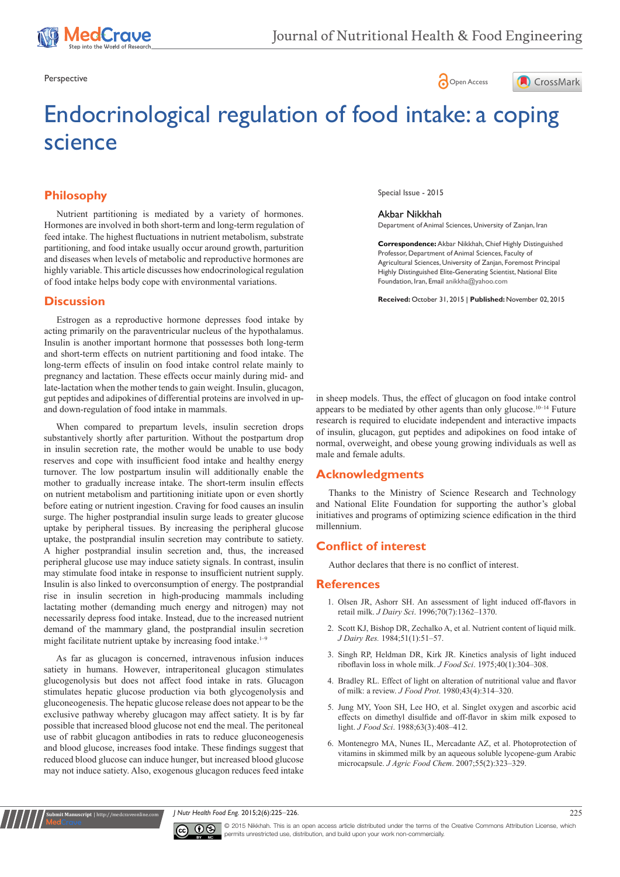





# Endocrinological regulation of food intake: a coping science

# **Philosophy**

Nutrient partitioning is mediated by a variety of hormones. Hormones are involved in both short-term and long-term regulation of feed intake. The highest fluctuations in nutrient metabolism, substrate partitioning, and food intake usually occur around growth, parturition and diseases when levels of metabolic and reproductive hormones are highly variable. This article discusses how endocrinological regulation of food intake helps body cope with environmental variations.

## **Discussion**

gut peptides and adipokines of differential proteins are involved in upand down-regulation of food intake in mammals. Estrogen as a reproductive hormone depresses food intake by acting primarily on the paraventricular nucleus of the hypothalamus. Insulin is another important hormone that possesses both long-term and short-term effects on nutrient partitioning and food intake. The long-term effects of insulin on food intake control relate mainly to pregnancy and lactation. These effects occur mainly during mid- and late-lactation when the mother tends to gain weight. Insulin, glucagon,

When compared to prepartum levels, insulin secretion drops substantively shortly after parturition. Without the postpartum drop in insulin secretion rate, the mother would be unable to use body reserves and cope with insufficient food intake and healthy energy turnover. The low postpartum insulin will additionally enable the mother to gradually increase intake. The short-term insulin effects on nutrient metabolism and partitioning initiate upon or even shortly before eating or nutrient ingestion. Craving for food causes an insulin surge. The higher postprandial insulin surge leads to greater glucose uptake by peripheral tissues. By increasing the peripheral glucose uptake, the postprandial insulin secretion may contribute to satiety. A higher postprandial insulin secretion and, thus, the increased peripheral glucose use may induce satiety signals. In contrast, insulin may stimulate food intake in response to insufficient nutrient supply. Insulin is also linked to overconsumption of energy. The postprandial rise in insulin secretion in high-producing mammals including lactating mother (demanding much energy and nitrogen) may not necessarily depress food intake. Instead, due to the increased nutrient demand of the mammary gland, the postprandial insulin secretion might facilitate nutrient uptake by increasing food intake. $1-9$ 

As far as glucagon is concerned, intravenous infusion induces satiety in humans. However, intraperitoneal glucagon stimulates glucogenolysis but does not affect food intake in rats. Glucagon stimulates hepatic glucose production via both glycogenolysis and gluconeogenesis. The hepatic glucose release does not appear to be the exclusive pathway whereby glucagon may affect satiety. It is by far possible that increased blood glucose not end the meal. The peritoneal use of rabbit glucagon antibodies in rats to reduce gluconeogenesis and blood glucose, increases food intake. These findings suggest that reduced blood glucose can induce hunger, but increased blood glucose may not induce satiety. Also, exogenous glucagon reduces feed intake Special Issue - 2015

Akbar Nikkhah Department of Animal Sciences, University of Zanjan, Iran

**Correspondence:** Akbar Nikkhah, Chief Highly Distinguished Professor, Department of Animal Sciences, Faculty of Agricultural Sciences, University of Zanjan, Foremost Principal Highly Distinguished Elite-Generating Scientist, National Elite Foundation, Iran, Email anikkha@yahoo.com

**Received:** October 31, 2015 | **Published:** November 02, 2015

in sheep models. Thus, the effect of glucagon on food intake control appears to be mediated by other agents than only glucose.<sup>10-14</sup> Future research is required to elucidate independent and interactive impacts of insulin, glucagon, gut peptides and adipokines on food intake of normal, overweight, and obese young growing individuals as well as male and female adults.

#### **Acknowledgments**

Thanks to the Ministry of Science Research and Technology and National Elite Foundation for supporting the author's global initiatives and programs of optimizing science edification in the third millennium.

## **Conflict of interest**

Author declares that there is no conflict of interest.

#### **References**

- 1. [Olsen JR, Ashorr SH. An assessment of light induced off-flavors in](http://www.journalofdairyscience.org/article/S0022-0302%2887%2980157-1/abstract)  retail milk. *J Dairy Sci*. 1996;70(7):1362-1370.
- 2. [Scott KJ, Bishop DR, Zechalko A, et al. Nutrient content of liquid milk.](http://journals.cambridge.org/action/displayAbstract?fromPage=online&aid=5149912)  *J Dairy Res.* [1984;51\(1\):51‒57.](http://journals.cambridge.org/action/displayAbstract?fromPage=online&aid=5149912)
- 3. [Singh RP, Heldman DR, Kirk JR. Kinetics analysis of light induced](http://onlinelibrary.wiley.com/doi/10.1111/j.1365-2621.1975.tb03761.x/abstract)  [riboflavin loss in whole milk.](http://onlinelibrary.wiley.com/doi/10.1111/j.1365-2621.1975.tb03761.x/abstract) *J Food Sci*. 1975;40(1):304‒308.
- 4. [Bradley RL. Effect of light on alteration of nutritional value and flavor](http://www.ingentaconnect.com/content/iafp/jfp/1980/00000043/00000004/art00014?crawler=true)  of milk: a review. *J Food Prot*[. 1980;43\(4\):314‒320.](http://www.ingentaconnect.com/content/iafp/jfp/1980/00000043/00000004/art00014?crawler=true)
- 5. [Jung MY, Yoon SH, Lee HO, et al. Singlet oxygen and ascorbic acid](http://onlinelibrary.wiley.com/doi/10.1111/j.1365-2621.1998.tb15753.x/abstract)  [effects on dimethyl disulfide and off-flavor in skim milk exposed to](http://onlinelibrary.wiley.com/doi/10.1111/j.1365-2621.1998.tb15753.x/abstract)  light. *J Food Sci*[. 1988;63\(3\):408‒412.](http://onlinelibrary.wiley.com/doi/10.1111/j.1365-2621.1998.tb15753.x/abstract)
- 6. [Montenegro MA, Nunes IL, Mercadante AZ, et al. Photoprotection of](http://www.ncbi.nlm.nih.gov/pubmed/17227061)  [vitamins in skimmed milk by an aqueous soluble lycopene-gum Arabic](http://www.ncbi.nlm.nih.gov/pubmed/17227061)  microcapsule. *J Agric Food Chem*[. 2007;55\(2\):323‒329.](http://www.ncbi.nlm.nih.gov/pubmed/17227061)

*J Nutr Health Food Eng.* 2015;2(6):225‒226. 225



**Krit Manuscript** | http://medcraveonline.c

© 2015 Nikkhah. This is an open access article distributed under the terms of the [Creative Commons Attribution License](https://creativecommons.org/licenses/by-nc/4.0/), which permits unrestricted use, distribution, and build upon your work non-commercially.